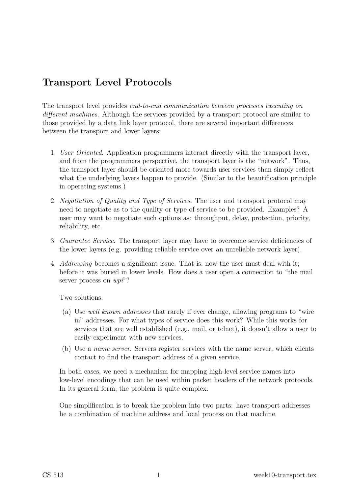# Transport Level Protocols

The transport level provides end-to-end communication between processes executing on different machines. Although the services provided by a transport protocol are similar to those provided by a data link layer protocol, there are several important differences between the transport and lower layers:

- 1. User Oriented. Application programmers interact directly with the transport layer, and from the programmers perspective, the transport layer is the "network". Thus, the transport layer should be oriented more towards user services than simply reflect what the underlying layers happen to provide. (Similar to the beautification principle in operating systems.)
- 2. Negotiation of Quality and Type of Services. The user and transport protocol may need to negotiate as to the quality or type of service to be provided. Examples? A user may want to negotiate such options as: throughput, delay, protection, priority, reliability, etc.
- 3. Guarantee Service. The transport layer may have to overcome service deficiencies of the lower layers (e.g. providing reliable service over an unreliable network layer).
- 4. Addressing becomes a significant issue. That is, now the user must deal with it; before it was buried in lower levels. How does a user open a connection to "the mail server process on  $wpi$ ?

Two solutions:

- (a) Use well known addresses that rarely if ever change, allowing programs to "wire in" addresses. For what types of service does this work? While this works for services that are well established (e.g., mail, or telnet), it doesn't allow a user to easily experiment with new services.
- (b) Use a name server. Servers register services with the name server, which clients contact to find the transport address of a given service.

In both cases, we need a mechanism for mapping high-level service names into low-level encodings that can be used within packet headers of the network protocols. In its general form, the problem is quite complex.

One simplification is to break the problem into two parts: have transport addresses be a combination of machine address and local process on that machine.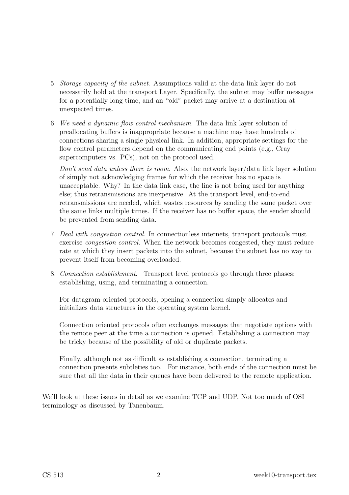- 5. Storage capacity of the subnet. Assumptions valid at the data link layer do not necessarily hold at the transport Layer. Specifically, the subnet may buffer messages for a potentially long time, and an "old" packet may arrive at a destination at unexpected times.
- 6. We need a dynamic flow control mechanism. The data link layer solution of preallocating buffers is inappropriate because a machine may have hundreds of connections sharing a single physical link. In addition, appropriate settings for the flow control parameters depend on the communicating end points (e.g., Cray supercomputers vs. PCs), not on the protocol used.

Don't send data unless there is room. Also, the network layer/data link layer solution of simply not acknowledging frames for which the receiver has no space is unacceptable. Why? In the data link case, the line is not being used for anything else; thus retransmissions are inexpensive. At the transport level, end-to-end retransmissions are needed, which wastes resources by sending the same packet over the same links multiple times. If the receiver has no buffer space, the sender should be prevented from sending data.

- 7. Deal with congestion control. In connectionless internets, transport protocols must exercise congestion control. When the network becomes congested, they must reduce rate at which they insert packets into the subnet, because the subnet has no way to prevent itself from becoming overloaded.
- 8. Connection establishment. Transport level protocols go through three phases: establishing, using, and terminating a connection.

For datagram-oriented protocols, opening a connection simply allocates and initializes data structures in the operating system kernel.

Connection oriented protocols often exchanges messages that negotiate options with the remote peer at the time a connection is opened. Establishing a connection may be tricky because of the possibility of old or duplicate packets.

Finally, although not as difficult as establishing a connection, terminating a connection presents subtleties too. For instance, both ends of the connection must be sure that all the data in their queues have been delivered to the remote application.

We'll look at these issues in detail as we examine TCP and UDP. Not too much of OSI terminology as discussed by Tanenbaum.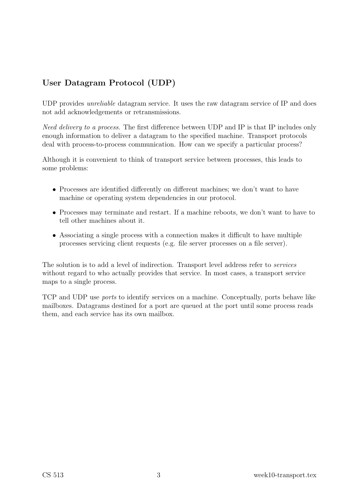## User Datagram Protocol (UDP)

UDP provides unreliable datagram service. It uses the raw datagram service of IP and does not add acknowledgements or retransmissions.

Need delivery to a process. The first difference between UDP and IP is that IP includes only enough information to deliver a datagram to the specified machine. Transport protocols deal with process-to-process communication. How can we specify a particular process?

Although it is convenient to think of transport service between processes, this leads to some problems:

- Processes are identified differently on different machines; we don't want to have machine or operating system dependencies in our protocol.
- Processes may terminate and restart. If a machine reboots, we don't want to have to tell other machines about it.
- Associating a single process with a connection makes it difficult to have multiple processes servicing client requests (e.g. file server processes on a file server).

The solution is to add a level of indirection. Transport level address refer to services without regard to who actually provides that service. In most cases, a transport service maps to a single process.

TCP and UDP use ports to identify services on a machine. Conceptually, ports behave like mailboxes. Datagrams destined for a port are queued at the port until some process reads them, and each service has its own mailbox.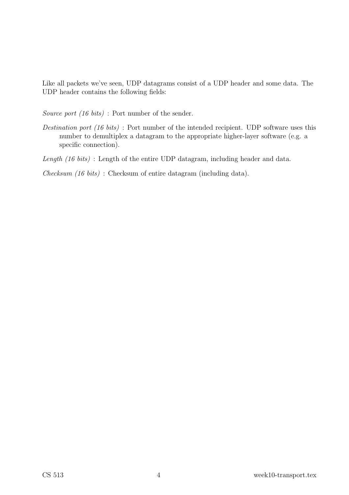Like all packets we've seen, UDP datagrams consist of a UDP header and some data. The UDP header contains the following fields:

Source port (16 bits) : Port number of the sender.

Destination port (16 bits) : Port number of the intended recipient. UDP software uses this number to demultiplex a datagram to the appropriate higher-layer software (e.g. a specific connection).

Length (16 bits) : Length of the entire UDP datagram, including header and data.

Checksum (16 bits) : Checksum of entire datagram (including data).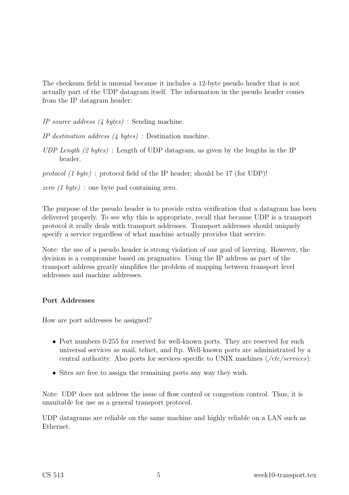The checksum field is unusual because it includes a 12-byte pseudo header that is not actually part of the UDP datagram itself. The information in the pseudo header comes from the IP datagram header:

IP source address (4 bytes) : Sending machine.

IP destination address (4 bytes) : Destination machine.

UDP Length  $(2 \text{ bytes})$ : Length of UDP datagram, as given by the lengths in the IP header.

protocol  $(1 \text{ byte})$ : protocol field of the IP header; should be 17 (for UDP)!

zero (1 byte) : one byte pad containing zero.

The purpose of the pseudo header is to provide extra verification that a datagram has been delivered properly. To see why this is appropriate, recall that because UDP is a transport protocol it really deals with transport addresses. Transport addresses should uniquely specify a service regardless of what machine actually provides that service.

Note: the use of a pseudo header is strong violation of our goal of layering. However, the decision is a compromise based on pragmatics. Using the IP address as part of the transport address greatly simplifies the problem of mapping between transport level addresses and machine addresses.

#### Port Addresses

How are port addresses be assigned?

- Port numbers 0-255 for reserved for well-known ports. They are reserved for such universal services as mail, telnet, and ftp. Well-known ports are administrated by a central authority. Also ports for services specific to UNIX machines (/etc/services).
- Sites are free to assign the remaining ports any way they wish.

Note: UDP does not address the issue of flow control or congestion control. Thus, it is unsuitable for use as a general transport protocol.

UDP datagrams are reliable on the same machine and highly reliable on a LAN such as Ethernet.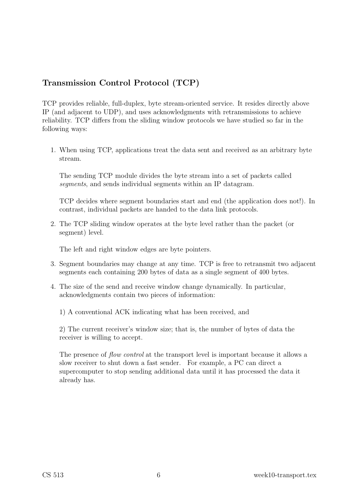### Transmission Control Protocol (TCP)

TCP provides reliable, full-duplex, byte stream-oriented service. It resides directly above IP (and adjacent to UDP), and uses acknowledgments with retransmissions to achieve reliability. TCP differs from the sliding window protocols we have studied so far in the following ways:

1. When using TCP, applications treat the data sent and received as an arbitrary byte stream.

The sending TCP module divides the byte stream into a set of packets called segments, and sends individual segments within an IP datagram.

TCP decides where segment boundaries start and end (the application does not!). In contrast, individual packets are handed to the data link protocols.

2. The TCP sliding window operates at the byte level rather than the packet (or segment) level.

The left and right window edges are byte pointers.

- 3. Segment boundaries may change at any time. TCP is free to retransmit two adjacent segments each containing 200 bytes of data as a single segment of 400 bytes.
- 4. The size of the send and receive window change dynamically. In particular, acknowledgments contain two pieces of information:

1) A conventional ACK indicating what has been received, and

2) The current receiver's window size; that is, the number of bytes of data the receiver is willing to accept.

The presence of *flow control* at the transport level is important because it allows a slow receiver to shut down a fast sender. For example, a PC can direct a supercomputer to stop sending additional data until it has processed the data it already has.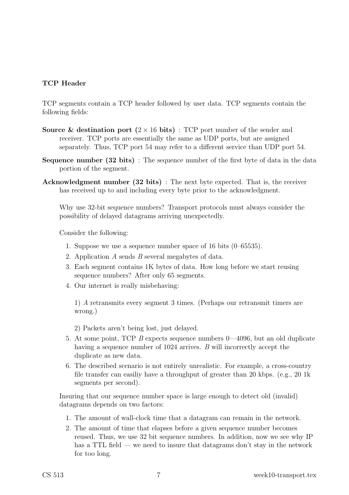#### TCP Header

TCP segments contain a TCP header followed by user data. TCP segments contain the following fields:

- **Source & destination port**  $(2 \times 16$  bits) : TCP port number of the sender and receiver. TCP ports are essentially the same as UDP ports, but are assigned separately. Thus, TCP port 54 may refer to a different service than UDP port 54.
- Sequence number (32 bits) : The sequence number of the first byte of data in the data portion of the segment.
- Acknowledgment number (32 bits) : The next byte expected. That is, the receiver has received up to and including every byte prior to the acknowledgment.

Why use 32-bit sequence numbers? Transport protocols must always consider the possibility of delayed datagrams arriving unexpectedly.

Consider the following:

- 1. Suppose we use a sequence number space of 16 bits (0–65535).
- 2. Application  $A$  sends  $B$  several megabytes of data.
- 3. Each segment contains 1K bytes of data. How long before we start reusing sequence numbers? After only 65 segments.
- 4. Our internet is really misbehaving:

1) A retransmits every segment 3 times. (Perhaps our retransmit timers are wrong.)

2) Packets aren't being lost, just delayed.

- 5. At some point, TCP B expects sequence numbers 0—4096, but an old duplicate having a sequence number of 1024 arrives. B will incorrectly accept the duplicate as new data.
- 6. The described scenario is not entirely unrealistic. For example, a cross-country file transfer can easiliy have a throughput of greater than 20 kbps. (e.g., 20 1k segments per second).

Insuring that our sequence number space is large enough to detect old (invalid) datagrams depends on two factors:

- 1. The amount of wall-clock time that a datagram can remain in the network.
- 2. The amount of time that elapses before a given sequence number becomes reused. Thus, we use 32 bit sequence numbers. In addition, now we see why IP has a TTL field — we need to insure that datagrams don't stay in the network for too long.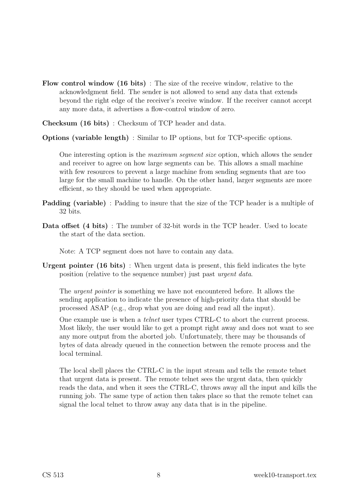- Flow control window (16 bits) : The size of the receive window, relative to the acknowledgment field. The sender is not allowed to send any data that extends beyond the right edge of the receiver's receive window. If the receiver cannot accept any more data, it advertises a flow-control window of zero.
- Checksum (16 bits) : Checksum of TCP header and data.
- Options (variable length) : Similar to IP options, but for TCP-specific options.

One interesting option is the maximum segment size option, which allows the sender and receiver to agree on how large segments can be. This allows a small machine with few resources to prevent a large machine from sending segments that are too large for the small machine to handle. On the other hand, larger segments are more efficient, so they should be used when appropriate.

- Padding (variable) : Padding to insure that the size of the TCP header is a multiple of 32 bits.
- Data offset (4 bits) : The number of 32-bit words in the TCP header. Used to locate the start of the data section.

Note: A TCP segment does not have to contain any data.

Urgent pointer (16 bits) : When urgent data is present, this field indicates the byte position (relative to the sequence number) just past urgent data.

The urgent pointer is something we have not encountered before. It allows the sending application to indicate the presence of high-priority data that should be processed ASAP (e.g., drop what you are doing and read all the input).

One example use is when a telnet user types CTRL-C to abort the current process. Most likely, the user would like to get a prompt right away and does not want to see any more output from the aborted job. Unfortunately, there may be thousands of bytes of data already queued in the connection between the remote process and the local terminal.

The local shell places the CTRL-C in the input stream and tells the remote telnet that urgent data is present. The remote telnet sees the urgent data, then quickly reads the data, and when it sees the CTRL-C, throws away all the input and kills the running job. The same type of action then takes place so that the remote telnet can signal the local telnet to throw away any data that is in the pipeline.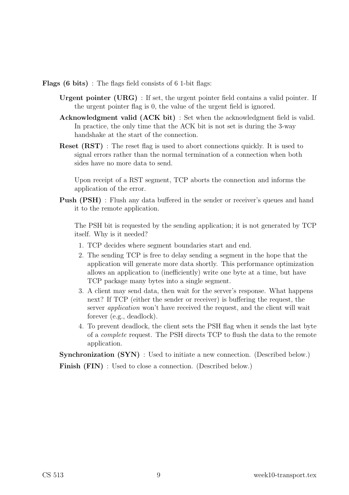Flags (6 bits) : The flags field consists of 6 1-bit flags:

- Urgent pointer (URG) : If set, the urgent pointer field contains a valid pointer. If the urgent pointer flag is 0, the value of the urgent field is ignored.
- Acknowledgment valid (ACK bit) : Set when the acknowledgment field is valid. In practice, the only time that the ACK bit is not set is during the 3-way handshake at the start of the connection.
- Reset (RST) : The reset flag is used to abort connections quickly. It is used to signal errors rather than the normal termination of a connection when both sides have no more data to send.

Upon receipt of a RST segment, TCP aborts the connection and informs the application of the error.

**Push (PSH)**: Flush any data buffered in the sender or receiver's queues and hand it to the remote application.

The PSH bit is requested by the sending application; it is not generated by TCP itself. Why is it needed?

- 1. TCP decides where segment boundaries start and end.
- 2. The sending TCP is free to delay sending a segment in the hope that the application will generate more data shortly. This performance optimization allows an application to (inefficiently) write one byte at a time, but have TCP package many bytes into a single segment.
- 3. A client may send data, then wait for the server's response. What happens next? If TCP (either the sender or receiver) is buffering the request, the server application won't have received the request, and the client will wait forever (e.g., deadlock).
- 4. To prevent deadlock, the client sets the PSH flag when it sends the last byte of a complete request. The PSH directs TCP to flush the data to the remote application.

Synchronization  $(SYN)$ : Used to initiate a new connection. (Described below.)

Finish (FIN) : Used to close a connection. (Described below.)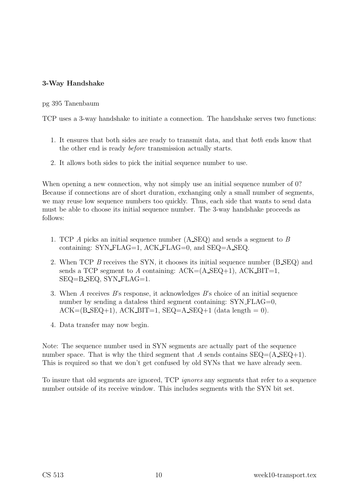### 3-Way Handshake

#### pg 395 Tanenbaum

TCP uses a 3-way handshake to initiate a connection. The handshake serves two functions:

- 1. It ensures that both sides are ready to transmit data, and that both ends know that the other end is ready before transmission actually starts.
- 2. It allows both sides to pick the initial sequence number to use.

When opening a new connection, why not simply use an initial sequence number of 0? Because if connections are of short duration, exchanging only a small number of segments, we may reuse low sequence numbers too quickly. Thus, each side that wants to send data must be able to choose its initial sequence number. The 3-way handshake proceeds as follows:

- 1. TCP A picks an initial sequence number (A SEQ) and sends a segment to B containing: SYN FLAG=1, ACK FLAG=0, and SEQ=A SEQ.
- 2. When TCP B receives the SYN, it chooses its initial sequence number (B SEQ) and sends a TCP segment to A containing:  $ACK=(A, \text{SEQ}+1)$ ,  $ACK, \text{BIT}=1$ , SEQ=B SEQ, SYN FLAG=1.
- 3. When A receives B's response, it acknowledges B's choice of an initial sequence number by sending a dataless third segment containing: SYN FLAG=0,  $ACK=(B\_SEQ+1)$ ,  $ACK\_BIT=1$ ,  $SEQ=A\_SEQ+1$  (data length = 0).
- 4. Data transfer may now begin.

Note: The sequence number used in SYN segments are actually part of the sequence number space. That is why the third segment that A sends contains  $SEQ = (A SEQ+1)$ . This is required so that we don't get confused by old SYNs that we have already seen.

To insure that old segments are ignored, TCP ignores any segments that refer to a sequence number outside of its receive window. This includes segments with the SYN bit set.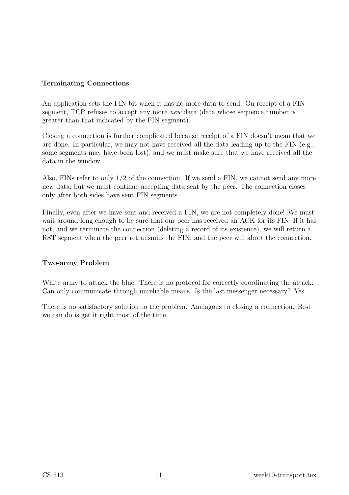#### Terminating Connections

An application sets the FIN bit when it has no more data to send. On receipt of a FIN segment, TCP refuses to accept any more new data (data whose sequence number is greater than that indicated by the FIN segment).

Closing a connection is further complicated because receipt of a FIN doesn't mean that we are done. In particular, we may not have received all the data leading up to the FIN (e.g., some segments may have been lost), and we must make sure that we have received all the data in the window.

Also, FINs refer to only 1/2 of the connection. If we send a FIN, we cannot send any more new data, but we must continue accepting data sent by the peer. The connection closes only after both sides have sent FIN segments.

Finally, even after we have sent and received a FIN, we are not completely done! We must wait around long enough to be sure that our peer has received an ACK for its FIN. If it has not, and we terminate the connection (deleting a record of its existence), we will return a RST segment when the peer retransmits the FIN, and the peer will abort the connection.

#### Two-army Problem

White army to attack the blue. There is no protocol for correctly coordinating the attack. Can only communicate through unreliable means. Is the last messenger necessary? Yes.

There is no satisfactory solution to the problem. Analagous to closing a connection. Best we can do is get it right most of the time.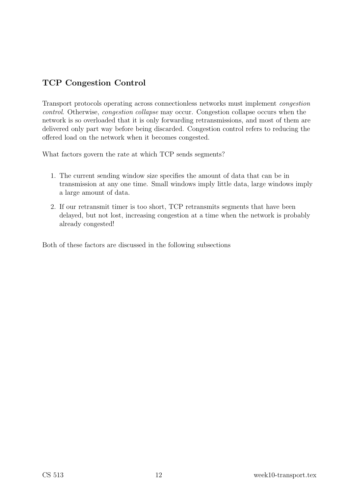## TCP Congestion Control

Transport protocols operating across connectionless networks must implement congestion control. Otherwise, congestion collapse may occur. Congestion collapse occurs when the network is so overloaded that it is only forwarding retransmissions, and most of them are delivered only part way before being discarded. Congestion control refers to reducing the offered load on the network when it becomes congested.

What factors govern the rate at which TCP sends segments?

- 1. The current sending window size specifies the amount of data that can be in transmission at any one time. Small windows imply little data, large windows imply a large amount of data.
- 2. If our retransmit timer is too short, TCP retransmits segments that have been delayed, but not lost, increasing congestion at a time when the network is probably already congested!

Both of these factors are discussed in the following subsections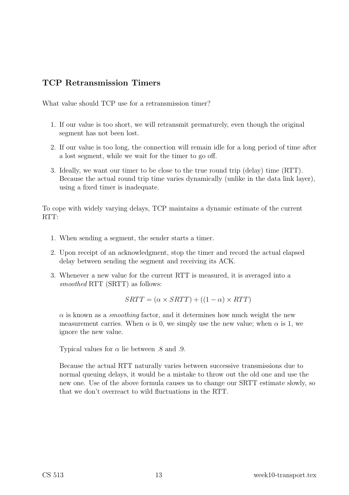### TCP Retransmission Timers

What value should TCP use for a retransmission timer?

- 1. If our value is too short, we will retransmit prematurely, even though the original segment has not been lost.
- 2. If our value is too long, the connection will remain idle for a long period of time after a lost segment, while we wait for the timer to go off.
- 3. Ideally, we want our timer to be close to the true round trip (delay) time (RTT). Because the actual round trip time varies dynamically (unlike in the data link layer), using a fixed timer is inadequate.

To cope with widely varying delays, TCP maintains a dynamic estimate of the current RTT:

- 1. When sending a segment, the sender starts a timer.
- 2. Upon receipt of an acknowledgment, stop the timer and record the actual elapsed delay between sending the segment and receiving its ACK.
- 3. Whenever a new value for the current RTT is measured, it is averaged into a smoothed RTT (SRTT) as follows:

$$
SRTT = (\alpha \times SRTT) + ((1 - \alpha) \times RTT)
$$

 $\alpha$  is known as a *smoothing* factor, and it determines how much weight the new measurement carries. When  $\alpha$  is 0, we simply use the new value; when  $\alpha$  is 1, we ignore the new value.

Typical values for  $\alpha$  lie between .8 and .9.

Because the actual RTT naturally varies between successive transmissions due to normal queuing delays, it would be a mistake to throw out the old one and use the new one. Use of the above formula causes us to change our SRTT estimate slowly, so that we don't overreact to wild fluctuations in the RTT.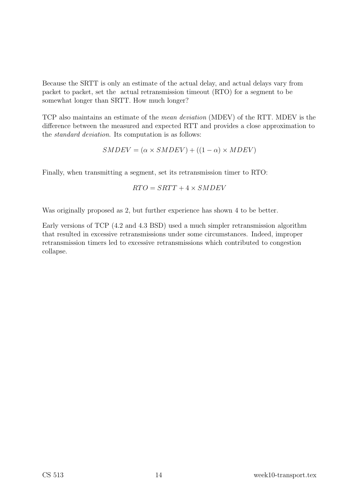Because the SRTT is only an estimate of the actual delay, and actual delays vary from packet to packet, set the actual retransmission timeout (RTO) for a segment to be somewhat longer than SRTT. How much longer?

TCP also maintains an estimate of the mean deviation (MDEV) of the RTT. MDEV is the difference between the measured and expected RTT and provides a close approximation to the standard deviation. Its computation is as follows:

$$
SMDEV = (\alpha \times SMDEV) + ((1 - \alpha) \times MDEV)
$$

Finally, when transmitting a segment, set its retransmission timer to RTO:

$$
RTO = SRTT + 4 \times SMDEV
$$

Was originally proposed as 2, but further experience has shown 4 to be better.

Early versions of TCP (4.2 and 4.3 BSD) used a much simpler retransmission algorithm that resulted in excessive retransmissions under some circumstances. Indeed, improper retransmission timers led to excessive retransmissions which contributed to congestion collapse.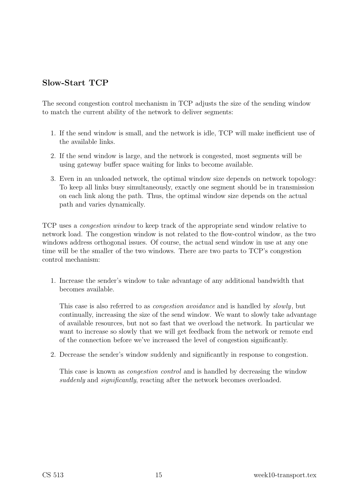### Slow-Start TCP

The second congestion control mechanism in TCP adjusts the size of the sending window to match the current ability of the network to deliver segments:

- 1. If the send window is small, and the network is idle, TCP will make inefficient use of the available links.
- 2. If the send window is large, and the network is congested, most segments will be using gateway buffer space waiting for links to become available.
- 3. Even in an unloaded network, the optimal window size depends on network topology: To keep all links busy simultaneously, exactly one segment should be in transmission on each link along the path. Thus, the optimal window size depends on the actual path and varies dynamically.

TCP uses a congestion window to keep track of the appropriate send window relative to network load. The congestion window is not related to the flow-control window, as the two windows address orthogonal issues. Of course, the actual send window in use at any one time will be the smaller of the two windows. There are two parts to TCP's congestion control mechanism:

1. Increase the sender's window to take advantage of any additional bandwidth that becomes available.

This case is also referred to as *congestion avoidance* and is handled by *slowly*, but continually, increasing the size of the send window. We want to slowly take advantage of available resources, but not so fast that we overload the network. In particular we want to increase so slowly that we will get feedback from the network or remote end of the connection before we've increased the level of congestion significantly.

2. Decrease the sender's window suddenly and significantly in response to congestion.

This case is known as *congestion control* and is handled by decreasing the window suddenly and *significantly*, reacting after the network becomes overloaded.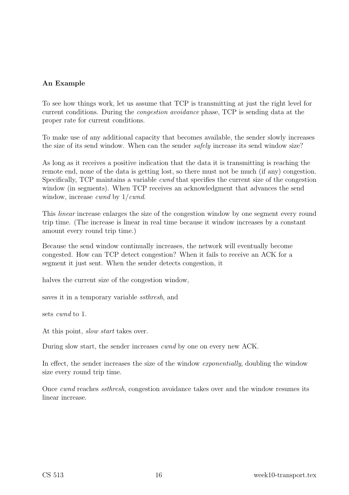### An Example

To see how things work, let us assume that TCP is transmitting at just the right level for current conditions. During the congestion avoidance phase, TCP is sending data at the proper rate for current conditions.

To make use of any additional capacity that becomes available, the sender slowly increases the size of its send window. When can the sender safely increase its send window size?

As long as it receives a positive indication that the data it is transmitting is reaching the remote end, none of the data is getting lost, so there must not be much (if any) congestion. Specifically, TCP maintains a variable cwnd that specifies the current size of the congestion window (in segments). When TCP receives an acknowledgment that advances the send window, increase *cwnd* by  $1/cwnd$ .

This linear increase enlarges the size of the congestion window by one segment every round trip time. (The increase is linear in real time because it window increases by a constant amount every round trip time.)

Because the send window continually increases, the network will eventually become congested. How can TCP detect congestion? When it fails to receive an ACK for a segment it just sent. When the sender detects congestion, it

halves the current size of the congestion window,

saves it in a temporary variable ssthresh, and

sets cwnd to 1.

At this point, slow start takes over.

During slow start, the sender increases cwnd by one on every new ACK.

In effect, the sender increases the size of the window *exponentially*, doubling the window size every round trip time.

Once cwnd reaches ssthresh, congestion avoidance takes over and the window resumes its linear increase.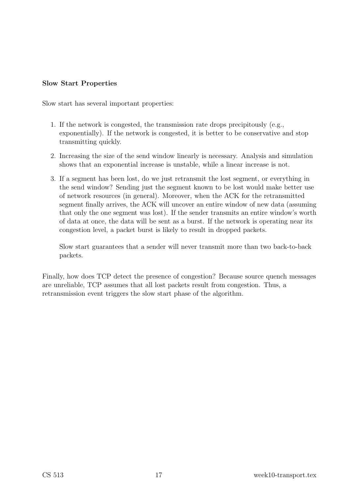#### Slow Start Properties

Slow start has several important properties:

- 1. If the network is congested, the transmission rate drops precipitously (e.g., exponentially). If the network is congested, it is better to be conservative and stop transmitting quickly.
- 2. Increasing the size of the send window linearly is necessary. Analysis and simulation shows that an exponential increase is unstable, while a linear increase is not.
- 3. If a segment has been lost, do we just retransmit the lost segment, or everything in the send window? Sending just the segment known to be lost would make better use of network resources (in general). Moreover, when the ACK for the retransmitted segment finally arrives, the ACK will uncover an entire window of new data (assuming that only the one segment was lost). If the sender transmits an entire window's worth of data at once, the data will be sent as a burst. If the network is operating near its congestion level, a packet burst is likely to result in dropped packets.

Slow start guarantees that a sender will never transmit more than two back-to-back packets.

Finally, how does TCP detect the presence of congestion? Because source quench messages are unreliable, TCP assumes that all lost packets result from congestion. Thus, a retransmission event triggers the slow start phase of the algorithm.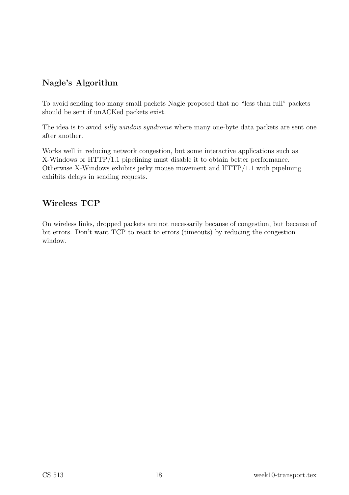### Nagle's Algorithm

To avoid sending too many small packets Nagle proposed that no "less than full" packets should be sent if unACKed packets exist.

The idea is to avoid *silly window syndrome* where many one-byte data packets are sent one after another.

Works well in reducing network congestion, but some interactive applications such as X-Windows or HTTP/1.1 pipelining must disable it to obtain better performance. Otherwise X-Windows exhibits jerky mouse movement and HTTP/1.1 with pipelining exhibits delays in sending requests.

### Wireless TCP

On wireless links, dropped packets are not necessarily because of congestion, but because of bit errors. Don't want TCP to react to errors (timeouts) by reducing the congestion window.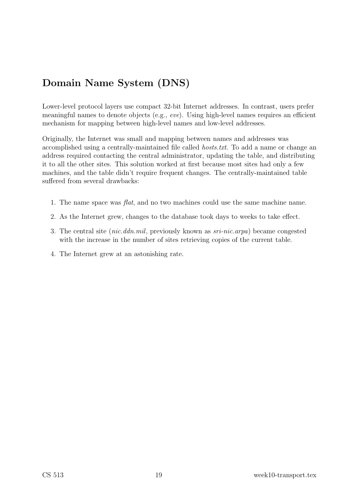# Domain Name System (DNS)

Lower-level protocol layers use compact 32-bit Internet addresses. In contrast, users prefer meaningful names to denote objects (e.g., eve). Using high-level names requires an efficient mechanism for mapping between high-level names and low-level addresses.

Originally, the Internet was small and mapping between names and addresses was accomplished using a centrally-maintained file called hosts.txt. To add a name or change an address required contacting the central administrator, updating the table, and distributing it to all the other sites. This solution worked at first because most sites had only a few machines, and the table didn't require frequent changes. The centrally-maintained table suffered from several drawbacks:

- 1. The name space was flat, and no two machines could use the same machine name.
- 2. As the Internet grew, changes to the database took days to weeks to take effect.
- 3. The central site (nic.ddn.mil, previously known as sri-nic.arpa) became congested with the increase in the number of sites retrieving copies of the current table.
- 4. The Internet grew at an astonishing rate.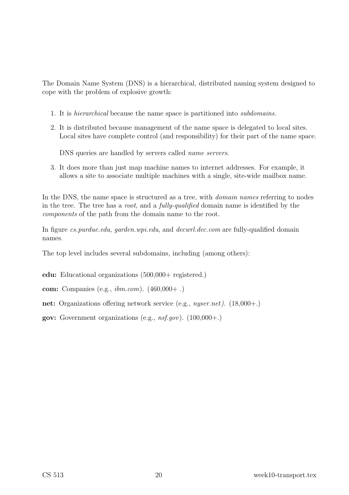The Domain Name System (DNS) is a hierarchical, distributed naming system designed to cope with the problem of explosive growth:

- 1. It is hierarchical because the name space is partitioned into subdomains.
- 2. It is distributed because management of the name space is delegated to local sites. Local sites have complete control (and responsibility) for their part of the name space.

DNS queries are handled by servers called name servers.

3. It does more than just map machine names to internet addresses. For example, it allows a site to associate multiple machines with a single, site-wide mailbox name.

In the DNS, the name space is structured as a tree, with *domain names* referring to nodes in the tree. The tree has a root, and a fully-qualified domain name is identified by the components of the path from the domain name to the root.

In figure *cs.purdue.edu, garden.wpi.edu,* and *decwrl.dec.com* are fully-qualified domain names.

The top level includes several subdomains, including (among others):

edu: Educational organizations (500,000+ registered.)

com: Companies (e.g., ibm.com). (460,000+ .)

net: Organizations offering network service (e.g., nyser.net). (18,000+.)

**gov:** Government organizations (e.g.,  $nsf.gov$ ). (100,000+.)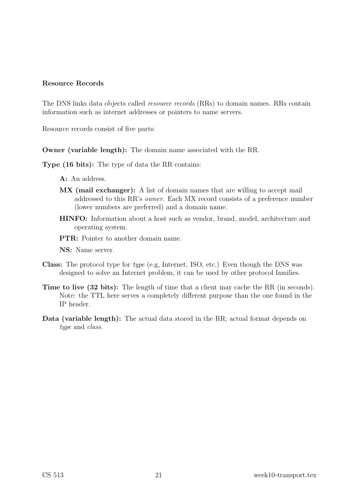#### Resource Records

The DNS links data objects called resource records (RRs) to domain names. RRs contain information such as internet addresses or pointers to name servers.

Resource records consist of five parts:

Owner (variable length): The domain name associated with the RR.

Type (16 bits): The type of data the RR contains:

- A: An address.
- MX (mail exchanger): A list of domain names that are willing to accept mail addressed to this RR's owner. Each MX record consists of a preference number (lower numbers are preferred) and a domain name.
- HINFO: Information about a host such as vendor, brand, model, architecture and operating system.
- PTR: Pointer to another domain name.

NS: Name server.

- Class: The protocol type for type (e.g, Internet, ISO, etc.) Even though the DNS was designed to solve an Internet problem, it can be used by other protocol families.
- Time to live (32 bits): The length of time that a client may cache the RR (in seconds). Note: the TTL here serves a completely different purpose than the one found in the IP header.
- Data (variable length): The actual data stored in the RR; actual format depends on type and *class*.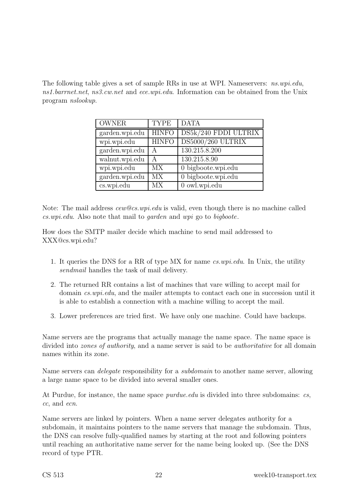The following table gives a set of sample RRs in use at WPI. Nameservers: ns.wpi.edu, ns1.barrnet.net, ns3.cw.net and ece.wpi.edu. Information can be obtained from the Unix program nslookup.

| <b>OWNER</b>   | <b>TYPE</b>  | <b>DATA</b>          |
|----------------|--------------|----------------------|
| garden.wpi.edu | <b>HINFO</b> | DS5k/240 FDDI ULTRIX |
| wpi.wpi.edu    | <b>HINFO</b> | DS5000/260 ULTRIX    |
| garden.wpi.edu | А            | 130.215.8.200        |
| walnut.wpi.edu | А            | 130.215.8.90         |
| wpi.wpi.edu    | <b>MX</b>    | 0 bigboote.wpi.edu   |
| garden.wpi.edu | <b>MX</b>    | 0 bigboote.wpi.edu   |
| cs.wpi.edu     | МX           | 0 owl.wpi.edu        |

Note: The mail address cew@cs.wpi.edu is valid, even though there is no machine called cs.wpi.edu. Also note that mail to garden and wpi go to bigboote.

How does the SMTP mailer decide which machine to send mail addressed to XXX@cs.wpi.edu?

- 1. It queries the DNS for a RR of type MX for name cs.wpi.edu. In Unix, the utility sendmail handles the task of mail delivery.
- 2. The returned RR contains a list of machines that vare willing to accept mail for domain *cs.wpi.edu*, and the mailer attempts to contact each one in succession until it is able to establish a connection with a machine willing to accept the mail.
- 3. Lower preferences are tried first. We have only one machine. Could have backups.

Name servers are the programs that actually manage the name space. The name space is divided into *zones of authority*, and a name server is said to be *authoritative* for all domain names within its zone.

Name servers can *delegate* responsibility for a *subdomain* to another name server, allowing a large name space to be divided into several smaller ones.

At Purdue, for instance, the name space *purdue.edu* is divided into three subdomains: cs, cc, and ecn.

Name servers are linked by pointers. When a name server delegates authority for a subdomain, it maintains pointers to the name servers that manage the subdomain. Thus, the DNS can resolve fully-qualified names by starting at the root and following pointers until reaching an authoritative name server for the name being looked up. (See the DNS record of type PTR.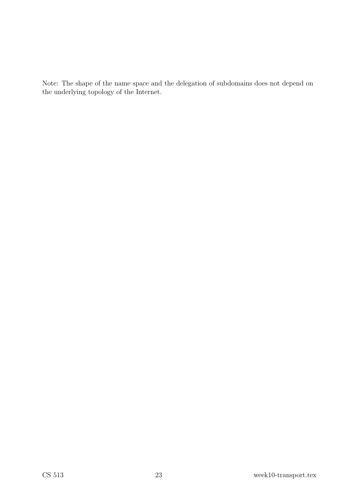Note: The shape of the name space and the delegation of subdomains does not depend on the underlying topology of the Internet.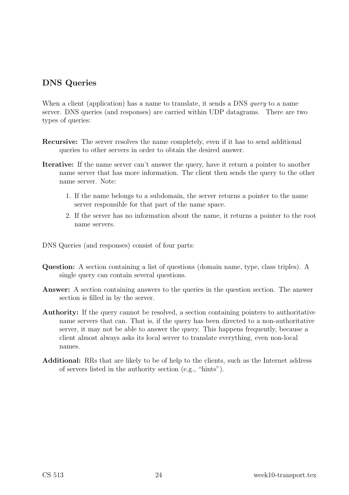### DNS Queries

When a client (application) has a name to translate, it sends a DNS *query* to a name server. DNS queries (and responses) are carried within UDP datagrams. There are two types of queries:

- Recursive: The server resolves the name completely, even if it has to send additional queries to other servers in order to obtain the desired answer.
- Iterative: If the name server can't answer the query, have it return a pointer to another name server that has more information. The client then sends the query to the other name server. Note:
	- 1. If the name belongs to a subdomain, the server returns a pointer to the name server responsible for that part of the name space.
	- 2. If the server has no information about the name, it returns a pointer to the root name servers.

DNS Queries (and responses) consist of four parts:

- Question: A section containing a list of questions (domain name, type, class triples). A single query can contain several questions.
- Answer: A section containing answers to the queries in the question section. The answer section is filled in by the server.
- Authority: If the query cannot be resolved, a section containing pointers to authoritative name servers that can. That is, if the query has been directed to a non-authoritative server, it may not be able to answer the query. This happens frequently, because a client almost always asks its local server to translate everything, even non-local names.
- Additional: RRs that are likely to be of help to the clients, such as the Internet address of servers listed in the authority section (e.g., "hints").